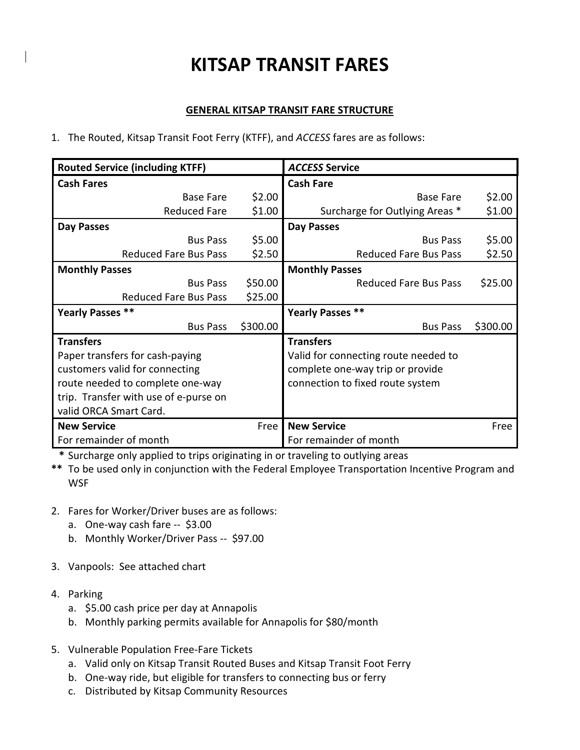## KITSAP TRANSIT FARES

## GENERAL KITSAP TRANSIT FARE STRUCTURE

1. The Routed, Kitsap Transit Foot Ferry (KTFF), and ACCESS fares are as follows:

| <b>Routed Service (including KTFF)</b> |          | <b>ACCESS Service</b>                |          |  |
|----------------------------------------|----------|--------------------------------------|----------|--|
| <b>Cash Fares</b>                      |          | <b>Cash Fare</b>                     |          |  |
| <b>Base Fare</b>                       | \$2.00   | Base Fare                            | \$2.00   |  |
| <b>Reduced Fare</b>                    | \$1.00   | Surcharge for Outlying Areas *       | \$1.00   |  |
| <b>Day Passes</b>                      |          | Day Passes                           |          |  |
| <b>Bus Pass</b>                        | \$5.00   | <b>Bus Pass</b>                      |          |  |
| <b>Reduced Fare Bus Pass</b>           | \$2.50   | <b>Reduced Fare Bus Pass</b>         | \$2.50   |  |
| <b>Monthly Passes</b>                  |          | <b>Monthly Passes</b>                |          |  |
| <b>Bus Pass</b>                        | \$50.00  | <b>Reduced Fare Bus Pass</b>         | \$25.00  |  |
| <b>Reduced Fare Bus Pass</b>           | \$25.00  |                                      |          |  |
| Yearly Passes **                       |          | Yearly Passes **                     |          |  |
| <b>Bus Pass</b>                        | \$300.00 | <b>Bus Pass</b>                      | \$300.00 |  |
| <b>Transfers</b>                       |          | <b>Transfers</b>                     |          |  |
| Paper transfers for cash-paying        |          | Valid for connecting route needed to |          |  |
| customers valid for connecting         |          | complete one-way trip or provide     |          |  |
| route needed to complete one-way       |          | connection to fixed route system     |          |  |
| trip. Transfer with use of e-purse on  |          |                                      |          |  |
| valid ORCA Smart Card.                 |          |                                      |          |  |
| <b>New Service</b>                     | Free     | <b>New Service</b>                   | Free     |  |
| For remainder of month                 |          | For remainder of month               |          |  |

\* Surcharge only applied to trips originating in or traveling to outlying areas

\*\* To be used only in conjunction with the Federal Employee Transportation Incentive Program and **WSF** 

- 2. Fares for Worker/Driver buses are as follows:
	- a. One-way cash fare -- \$3.00
	- b. Monthly Worker/Driver Pass -- \$97.00
- 3. Vanpools: See attached chart
- 4. Parking
	- a. \$5.00 cash price per day at Annapolis
	- b. Monthly parking permits available for Annapolis for \$80/month
- 5. Vulnerable Population Free-Fare Tickets
	- a. Valid only on Kitsap Transit Routed Buses and Kitsap Transit Foot Ferry
	- b. One-way ride, but eligible for transfers to connecting bus or ferry
	- c. Distributed by Kitsap Community Resources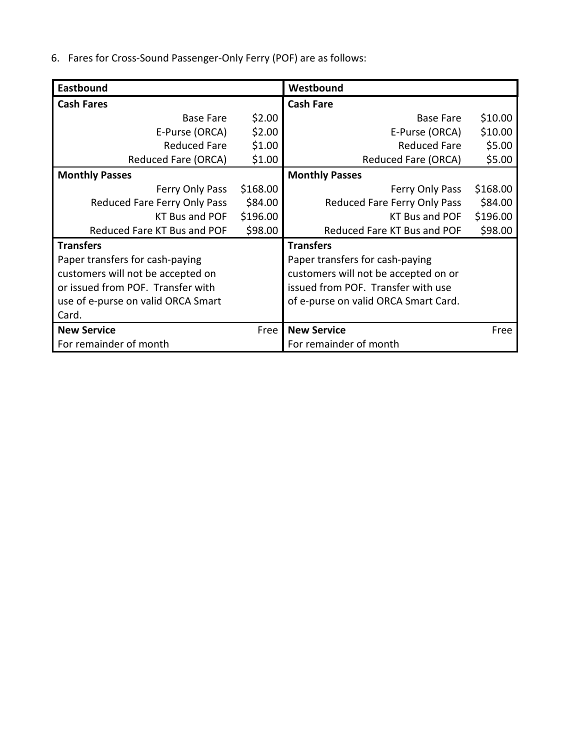6. Fares for Cross-Sound Passenger-Only Ferry (POF) are as follows:

| Eastbound                          |          | Westbound                            |          |  |
|------------------------------------|----------|--------------------------------------|----------|--|
| <b>Cash Fares</b>                  |          | <b>Cash Fare</b>                     |          |  |
| \$2.00<br><b>Base Fare</b>         |          | Base Fare                            | \$10.00  |  |
| E-Purse (ORCA)                     | \$2.00   | E-Purse (ORCA)                       | \$10.00  |  |
| <b>Reduced Fare</b>                | \$1.00   | <b>Reduced Fare</b>                  | \$5.00   |  |
| Reduced Fare (ORCA)                | \$1.00   | Reduced Fare (ORCA)                  | \$5.00   |  |
| <b>Monthly Passes</b>              |          | <b>Monthly Passes</b>                |          |  |
| Ferry Only Pass                    | \$168.00 | Ferry Only Pass                      | \$168.00 |  |
| Reduced Fare Ferry Only Pass       | \$84.00  | Reduced Fare Ferry Only Pass         | \$84.00  |  |
| KT Bus and POF                     | \$196.00 | <b>KT Bus and POF</b>                | \$196.00 |  |
| Reduced Fare KT Bus and POF        | \$98.00  | Reduced Fare KT Bus and POF          |          |  |
| <b>Transfers</b>                   |          | <b>Transfers</b>                     |          |  |
| Paper transfers for cash-paying    |          | Paper transfers for cash-paying      |          |  |
| customers will not be accepted on  |          | customers will not be accepted on or |          |  |
| or issued from POF. Transfer with  |          | issued from POF. Transfer with use   |          |  |
| use of e-purse on valid ORCA Smart |          | of e-purse on valid ORCA Smart Card. |          |  |
| Card.                              |          |                                      |          |  |
| <b>New Service</b><br>Free         |          | <b>New Service</b>                   | Free     |  |
| For remainder of month             |          | For remainder of month               |          |  |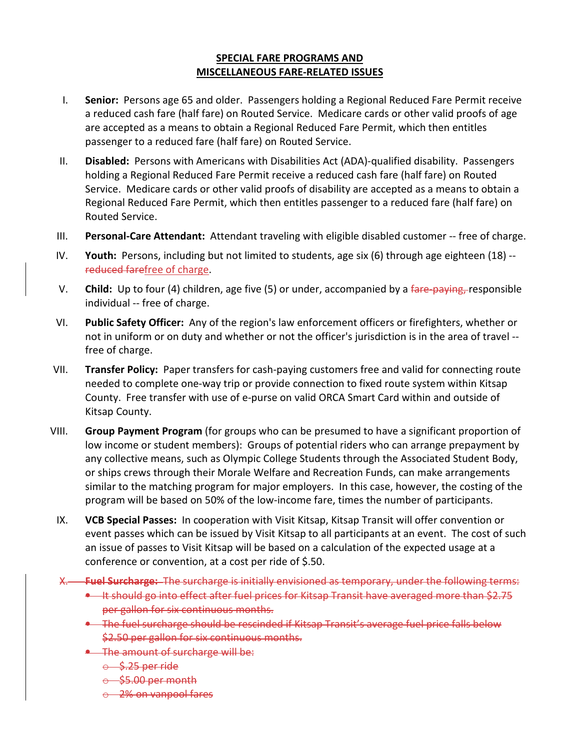## SPECIAL FARE PROGRAMS AND MISCELLANEOUS FARE-RELATED ISSUES

- I. Senior: Persons age 65 and older. Passengers holding a Regional Reduced Fare Permit receive a reduced cash fare (half fare) on Routed Service. Medicare cards or other valid proofs of age are accepted as a means to obtain a Regional Reduced Fare Permit, which then entitles passenger to a reduced fare (half fare) on Routed Service.
- II. Disabled: Persons with Americans with Disabilities Act (ADA)-qualified disability. Passengers holding a Regional Reduced Fare Permit receive a reduced cash fare (half fare) on Routed Service. Medicare cards or other valid proofs of disability are accepted as a means to obtain a Regional Reduced Fare Permit, which then entitles passenger to a reduced fare (half fare) on Routed Service.
- III. Personal-Care Attendant: Attendant traveling with eligible disabled customer -- free of charge.
- IV. Youth: Persons, including but not limited to students, age six (6) through age eighteen (18) -reduced farefree of charge.
- V. Child: Up to four (4) children, age five (5) or under, accompanied by a fare-paying, responsible individual -- free of charge.
- VI. Public Safety Officer: Any of the region's law enforcement officers or firefighters, whether or not in uniform or on duty and whether or not the officer's jurisdiction is in the area of travel - free of charge.
- VII. Transfer Policy: Paper transfers for cash-paying customers free and valid for connecting route needed to complete one-way trip or provide connection to fixed route system within Kitsap County. Free transfer with use of e-purse on valid ORCA Smart Card within and outside of Kitsap County.
- VIII. Group Payment Program (for groups who can be presumed to have a significant proportion of low income or student members): Groups of potential riders who can arrange prepayment by any collective means, such as Olympic College Students through the Associated Student Body, or ships crews through their Morale Welfare and Recreation Funds, can make arrangements similar to the matching program for major employers. In this case, however, the costing of the program will be based on 50% of the low-income fare, times the number of participants.
- IX. VCB Special Passes: In cooperation with Visit Kitsap, Kitsap Transit will offer convention or event passes which can be issued by Visit Kitsap to all participants at an event. The cost of such an issue of passes to Visit Kitsap will be based on a calculation of the expected usage at a conference or convention, at a cost per ride of \$.50.
- X. Fuel Surcharge: The surcharge is initially envisioned as temporary, under the following terms:
	- **It should go into effect after fuel prices for Kitsap Transit have averaged more than \$2.75** per gallon for six continuous months.
	- The fuel surcharge should be rescinded if Kitsap Transit's average fuel price falls below \$2.50 per gallon for six continuous months.
	- The amount of surcharge will be:
		- $\theta$  \$.25 per ride
		- $\leftrightarrow$  \$5.00 per month
		- o 2% on vanpool fares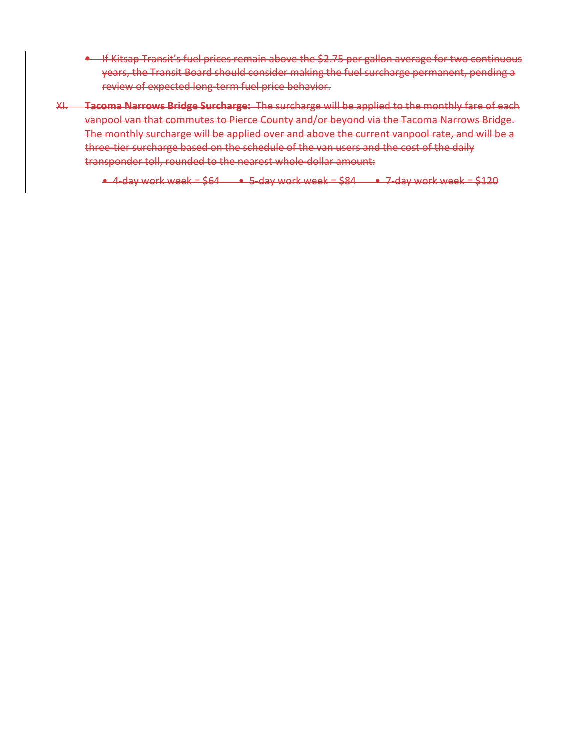- If Kitsap Transit's fuel prices remain above the \$2.75 per gallon average for two continuous years, the Transit Board should consider making the fuel surcharge permanent, pending a review of expected long-term fuel price behavior.
- XI. Tacoma Narrows Bridge Surcharge: The surcharge will be applied to the monthly fare of each vanpool van that commutes to Pierce County and/or beyond via the Tacoma Narrows Bridge. The monthly surcharge will be applied over and above the current vanpool rate, and will be a three-tier surcharge based on the schedule of the van users and the cost of the daily transponder toll, rounded to the nearest whole-dollar amount:

 $\div$  4-day work week = \$64  $\div$  5-day work week = \$84  $\div$  7-day work week = \$120